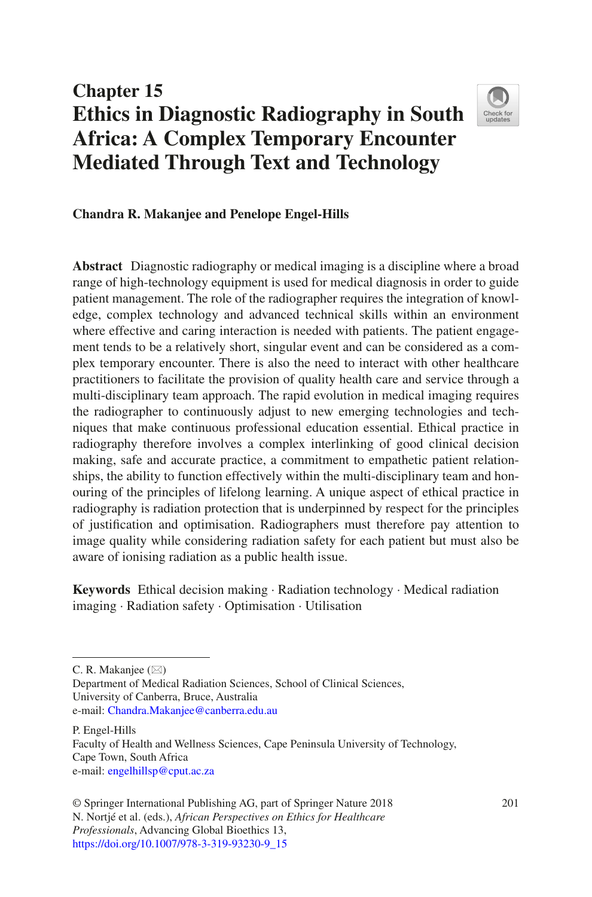# **Chapter 15 Ethics in Diagnostic Radiography in South Africa: A Complex Temporary Encounter Mediated Through Text and Technology**



#### **Chandra R. Makanjee and Penelope Engel-Hills**

**Abstract** Diagnostic radiography or medical imaging is a discipline where a broad range of high-technology equipment is used for medical diagnosis in order to guide patient management. The role of the radiographer requires the integration of knowledge, complex technology and advanced technical skills within an environment where effective and caring interaction is needed with patients. The patient engagement tends to be a relatively short, singular event and can be considered as a complex temporary encounter. There is also the need to interact with other healthcare practitioners to facilitate the provision of quality health care and service through a multi-disciplinary team approach. The rapid evolution in medical imaging requires the radiographer to continuously adjust to new emerging technologies and techniques that make continuous professional education essential. Ethical practice in radiography therefore involves a complex interlinking of good clinical decision making, safe and accurate practice, a commitment to empathetic patient relationships, the ability to function effectively within the multi-disciplinary team and honouring of the principles of lifelong learning. A unique aspect of ethical practice in radiography is radiation protection that is underpinned by respect for the principles of justification and optimisation. Radiographers must therefore pay attention to image quality while considering radiation safety for each patient but must also be aware of ionising radiation as a public health issue.

**Keywords** Ethical decision making · Radiation technology · Medical radiation imaging · Radiation safety · Optimisation · Utilisation

P. Engel-Hills Faculty of Health and Wellness Sciences, Cape Peninsula University of Technology, Cape Town, South Africa e-mail: [engelhillsp@cput.ac.za](mailto:engelhillsp@cput.ac.za)

© Springer International Publishing AG, part of Springer Nature 2018 201 N. Nortjé et al. (eds.), *African Perspectives on Ethics for Healthcare Professionals*, Advancing Global Bioethics 13, [https://doi.org/10.1007/978-3-319-93230-9\\_15](https://doi.org/10.1007/978-3-319-93230-9_15)

C. R. Makanjee  $(\boxtimes)$ 

Department of Medical Radiation Sciences, School of Clinical Sciences, University of Canberra, Bruce, Australia e-mail: [Chandra.Makanjee@canberra.edu.au](mailto:Chandra.Makanjee@canberra.edu.au)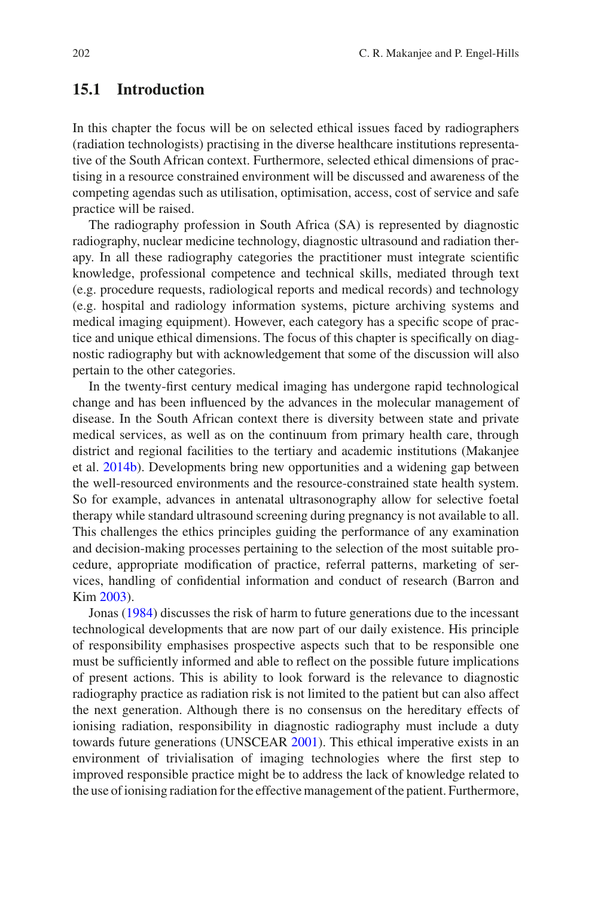## **15.1 Introduction**

In this chapter the focus will be on selected ethical issues faced by radiographers (radiation technologists) practising in the diverse healthcare institutions representative of the South African context. Furthermore, selected ethical dimensions of practising in a resource constrained environment will be discussed and awareness of the competing agendas such as utilisation, optimisation, access, cost of service and safe practice will be raised.

The radiography profession in South Africa (SA) is represented by diagnostic radiography, nuclear medicine technology, diagnostic ultrasound and radiation therapy. In all these radiography categories the practitioner must integrate scientific knowledge, professional competence and technical skills, mediated through text (e.g. procedure requests, radiological reports and medical records) and technology (e.g. hospital and radiology information systems, picture archiving systems and medical imaging equipment). However, each category has a specific scope of practice and unique ethical dimensions. The focus of this chapter is specifically on diagnostic radiography but with acknowledgement that some of the discussion will also pertain to the other categories.

In the twenty-first century medical imaging has undergone rapid technological change and has been influenced by the advances in the molecular management of disease. In the South African context there is diversity between state and private medical services, as well as on the continuum from primary health care, through district and regional facilities to the tertiary and academic institutions (Makanjee et al. [2014b\)](#page-12-0). Developments bring new opportunities and a widening gap between the well-resourced environments and the resource-constrained state health system. So for example, advances in antenatal ultrasonography allow for selective foetal therapy while standard ultrasound screening during pregnancy is not available to all. This challenges the ethics principles guiding the performance of any examination and decision-making processes pertaining to the selection of the most suitable procedure, appropriate modification of practice, referral patterns, marketing of services, handling of confidential information and conduct of research (Barron and Kim [2003](#page-11-0)).

Jonas ([1984\)](#page-12-1) discusses the risk of harm to future generations due to the incessant technological developments that are now part of our daily existence. His principle of responsibility emphasises prospective aspects such that to be responsible one must be sufficiently informed and able to reflect on the possible future implications of present actions. This is ability to look forward is the relevance to diagnostic radiography practice as radiation risk is not limited to the patient but can also affect the next generation. Although there is no consensus on the hereditary effects of ionising radiation, responsibility in diagnostic radiography must include a duty towards future generations (UNSCEAR [2001](#page-12-2)). This ethical imperative exists in an environment of trivialisation of imaging technologies where the first step to improved responsible practice might be to address the lack of knowledge related to the use of ionising radiation for the effective management of the patient. Furthermore,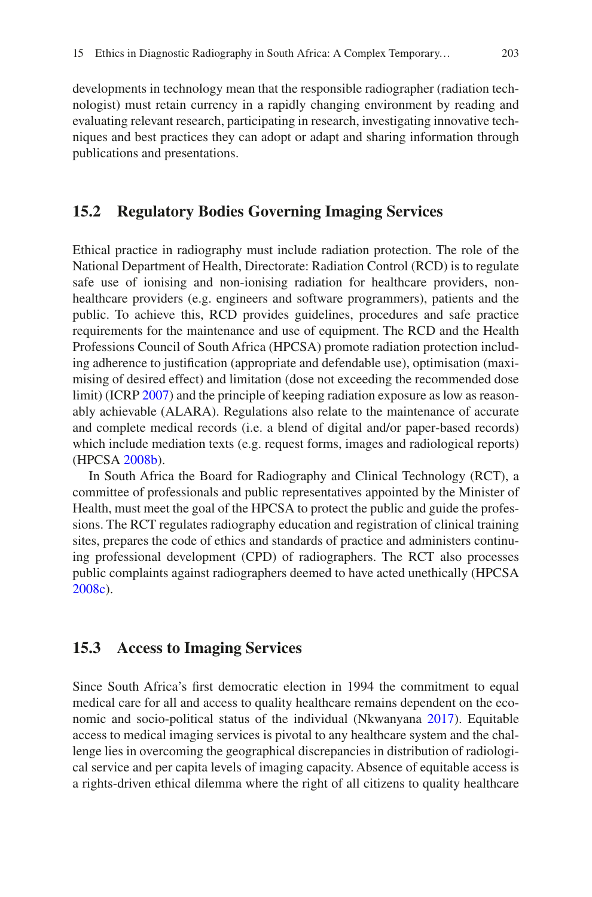developments in technology mean that the responsible radiographer (radiation technologist) must retain currency in a rapidly changing environment by reading and evaluating relevant research, participating in research, investigating innovative techniques and best practices they can adopt or adapt and sharing information through publications and presentations.

#### **15.2 Regulatory Bodies Governing Imaging Services**

Ethical practice in radiography must include radiation protection. The role of the National Department of Health, Directorate: Radiation Control (RCD) is to regulate safe use of ionising and non-ionising radiation for healthcare providers, nonhealthcare providers (e.g. engineers and software programmers), patients and the public. To achieve this, RCD provides guidelines, procedures and safe practice requirements for the maintenance and use of equipment. The RCD and the Health Professions Council of South Africa (HPCSA) promote radiation protection including adherence to justification (appropriate and defendable use), optimisation (maximising of desired effect) and limitation (dose not exceeding the recommended dose limit) (ICRP [2007\)](#page-11-1) and the principle of keeping radiation exposure as low as reasonably achievable (ALARA). Regulations also relate to the maintenance of accurate and complete medical records (i.e. a blend of digital and/or paper-based records) which include mediation texts (e.g. request forms, images and radiological reports) (HPCSA [2008b\)](#page-11-2).

In South Africa the Board for Radiography and Clinical Technology (RCT), a committee of professionals and public representatives appointed by the Minister of Health, must meet the goal of the HPCSA to protect the public and guide the professions. The RCT regulates radiography education and registration of clinical training sites, prepares the code of ethics and standards of practice and administers continuing professional development (CPD) of radiographers. The RCT also processes public complaints against radiographers deemed to have acted unethically (HPCSA [2008c](#page-11-3)).

#### **15.3 Access to Imaging Services**

Since South Africa's first democratic election in 1994 the commitment to equal medical care for all and access to quality healthcare remains dependent on the economic and socio-political status of the individual (Nkwanyana [2017](#page-12-3)). Equitable access to medical imaging services is pivotal to any healthcare system and the challenge lies in overcoming the geographical discrepancies in distribution of radiological service and per capita levels of imaging capacity. Absence of equitable access is a rights-driven ethical dilemma where the right of all citizens to quality healthcare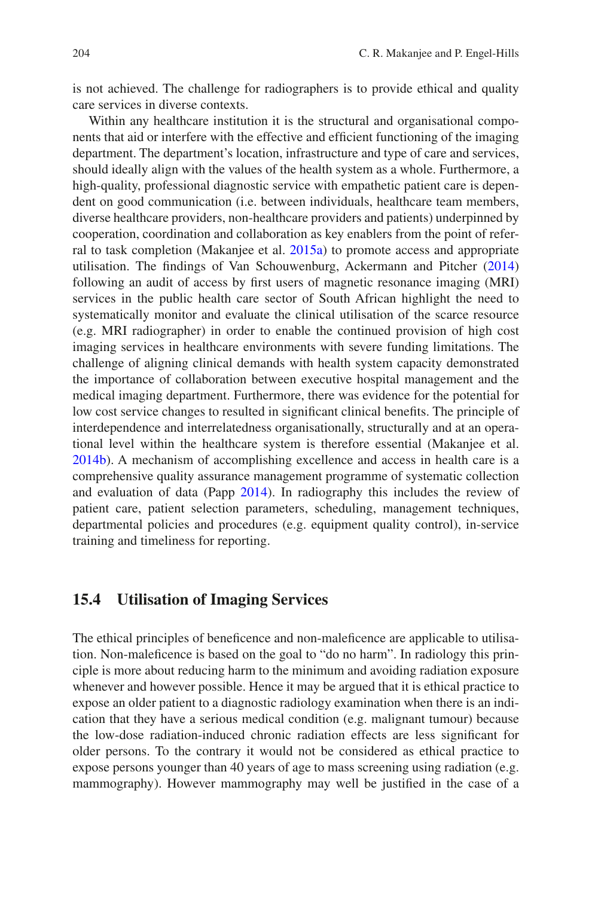is not achieved. The challenge for radiographers is to provide ethical and quality care services in diverse contexts.

Within any healthcare institution it is the structural and organisational components that aid or interfere with the effective and efficient functioning of the imaging department. The department's location, infrastructure and type of care and services, should ideally align with the values of the health system as a whole. Furthermore, a high-quality, professional diagnostic service with empathetic patient care is dependent on good communication (i.e. between individuals, healthcare team members, diverse healthcare providers, non-healthcare providers and patients) underpinned by cooperation, coordination and collaboration as key enablers from the point of referral to task completion (Makanjee et al. [2015a\)](#page-12-4) to promote access and appropriate utilisation. The findings of Van Schouwenburg, Ackermann and Pitcher [\(2014](#page-12-5)) following an audit of access by first users of magnetic resonance imaging (MRI) services in the public health care sector of South African highlight the need to systematically monitor and evaluate the clinical utilisation of the scarce resource (e.g. MRI radiographer) in order to enable the continued provision of high cost imaging services in healthcare environments with severe funding limitations. The challenge of aligning clinical demands with health system capacity demonstrated the importance of collaboration between executive hospital management and the medical imaging department. Furthermore, there was evidence for the potential for low cost service changes to resulted in significant clinical benefits. The principle of interdependence and interrelatedness organisationally, structurally and at an operational level within the healthcare system is therefore essential (Makanjee et al. [2014b\)](#page-12-0). A mechanism of accomplishing excellence and access in health care is a comprehensive quality assurance management programme of systematic collection and evaluation of data (Papp [2014\)](#page-12-6). In radiography this includes the review of patient care, patient selection parameters, scheduling, management techniques, departmental policies and procedures (e.g. equipment quality control), in-service training and timeliness for reporting.

## **15.4 Utilisation of Imaging Services**

The ethical principles of beneficence and non-maleficence are applicable to utilisation. Non-maleficence is based on the goal to "do no harm". In radiology this principle is more about reducing harm to the minimum and avoiding radiation exposure whenever and however possible. Hence it may be argued that it is ethical practice to expose an older patient to a diagnostic radiology examination when there is an indication that they have a serious medical condition (e.g. malignant tumour) because the low-dose radiation-induced chronic radiation effects are less significant for older persons. To the contrary it would not be considered as ethical practice to expose persons younger than 40 years of age to mass screening using radiation (e.g. mammography). However mammography may well be justified in the case of a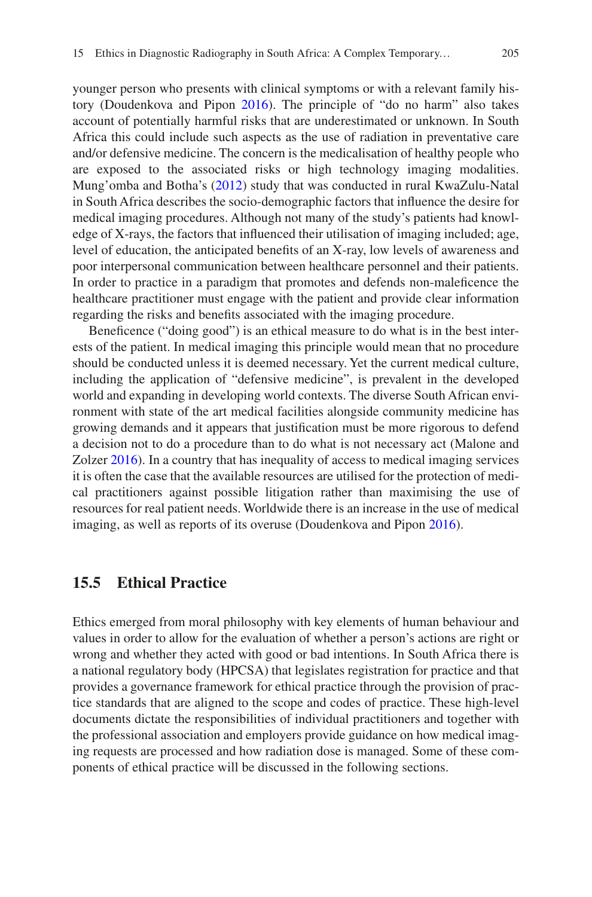younger person who presents with clinical symptoms or with a relevant family history (Doudenkova and Pipon [2016](#page-11-4)). The principle of "do no harm" also takes account of potentially harmful risks that are underestimated or unknown. In South Africa this could include such aspects as the use of radiation in preventative care and/or defensive medicine. The concern is the medicalisation of healthy people who are exposed to the associated risks or high technology imaging modalities. Mung'omba and Botha's [\(2012](#page-12-7)) study that was conducted in rural KwaZulu-Natal in South Africa describes the socio-demographic factors that influence the desire for medical imaging procedures. Although not many of the study's patients had knowledge of X-rays, the factors that influenced their utilisation of imaging included; age, level of education, the anticipated benefits of an X-ray, low levels of awareness and poor interpersonal communication between healthcare personnel and their patients. In order to practice in a paradigm that promotes and defends non-maleficence the healthcare practitioner must engage with the patient and provide clear information regarding the risks and benefits associated with the imaging procedure.

Beneficence ("doing good") is an ethical measure to do what is in the best interests of the patient. In medical imaging this principle would mean that no procedure should be conducted unless it is deemed necessary. Yet the current medical culture, including the application of "defensive medicine", is prevalent in the developed world and expanding in developing world contexts. The diverse South African environment with state of the art medical facilities alongside community medicine has growing demands and it appears that justification must be more rigorous to defend a decision not to do a procedure than to do what is not necessary act (Malone and Zolzer [2016](#page-12-8)). In a country that has inequality of access to medical imaging services it is often the case that the available resources are utilised for the protection of medical practitioners against possible litigation rather than maximising the use of resources for real patient needs. Worldwide there is an increase in the use of medical imaging, as well as reports of its overuse (Doudenkova and Pipon [2016\)](#page-11-4).

#### **15.5 Ethical Practice**

Ethics emerged from moral philosophy with key elements of human behaviour and values in order to allow for the evaluation of whether a person's actions are right or wrong and whether they acted with good or bad intentions. In South Africa there is a national regulatory body (HPCSA) that legislates registration for practice and that provides a governance framework for ethical practice through the provision of practice standards that are aligned to the scope and codes of practice. These high-level documents dictate the responsibilities of individual practitioners and together with the professional association and employers provide guidance on how medical imaging requests are processed and how radiation dose is managed. Some of these components of ethical practice will be discussed in the following sections.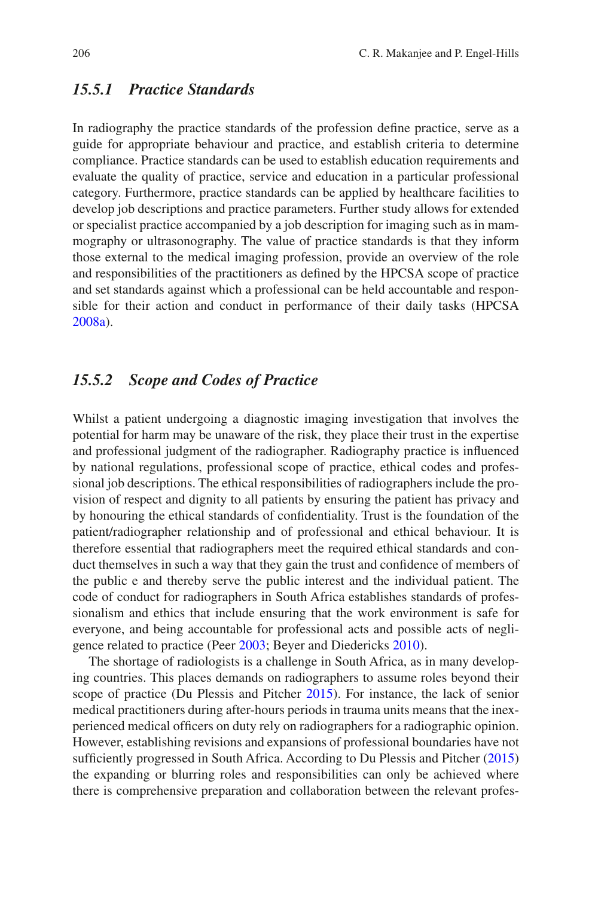## *15.5.1 Practice Standards*

In radiography the practice standards of the profession define practice, serve as a guide for appropriate behaviour and practice, and establish criteria to determine compliance. Practice standards can be used to establish education requirements and evaluate the quality of practice, service and education in a particular professional category. Furthermore, practice standards can be applied by healthcare facilities to develop job descriptions and practice parameters. Further study allows for extended or specialist practice accompanied by a job description for imaging such as in mammography or ultrasonography. The value of practice standards is that they inform those external to the medical imaging profession, provide an overview of the role and responsibilities of the practitioners as defined by the HPCSA scope of practice and set standards against which a professional can be held accountable and responsible for their action and conduct in performance of their daily tasks (HPCSA [2008a](#page-11-5)).

## *15.5.2 Scope and Codes of Practice*

Whilst a patient undergoing a diagnostic imaging investigation that involves the potential for harm may be unaware of the risk, they place their trust in the expertise and professional judgment of the radiographer. Radiography practice is influenced by national regulations, professional scope of practice, ethical codes and professional job descriptions. The ethical responsibilities of radiographers include the provision of respect and dignity to all patients by ensuring the patient has privacy and by honouring the ethical standards of confidentiality. Trust is the foundation of the patient/radiographer relationship and of professional and ethical behaviour. It is therefore essential that radiographers meet the required ethical standards and conduct themselves in such a way that they gain the trust and confidence of members of the public e and thereby serve the public interest and the individual patient. The code of conduct for radiographers in South Africa establishes standards of professionalism and ethics that include ensuring that the work environment is safe for everyone, and being accountable for professional acts and possible acts of negligence related to practice (Peer [2003](#page-12-9); Beyer and Diedericks [2010\)](#page-11-6).

The shortage of radiologists is a challenge in South Africa, as in many developing countries. This places demands on radiographers to assume roles beyond their scope of practice (Du Plessis and Pitcher [2015](#page-11-7)). For instance, the lack of senior medical practitioners during after-hours periods in trauma units means that the inexperienced medical officers on duty rely on radiographers for a radiographic opinion. However, establishing revisions and expansions of professional boundaries have not sufficiently progressed in South Africa. According to Du Plessis and Pitcher [\(2015](#page-11-7)) the expanding or blurring roles and responsibilities can only be achieved where there is comprehensive preparation and collaboration between the relevant profes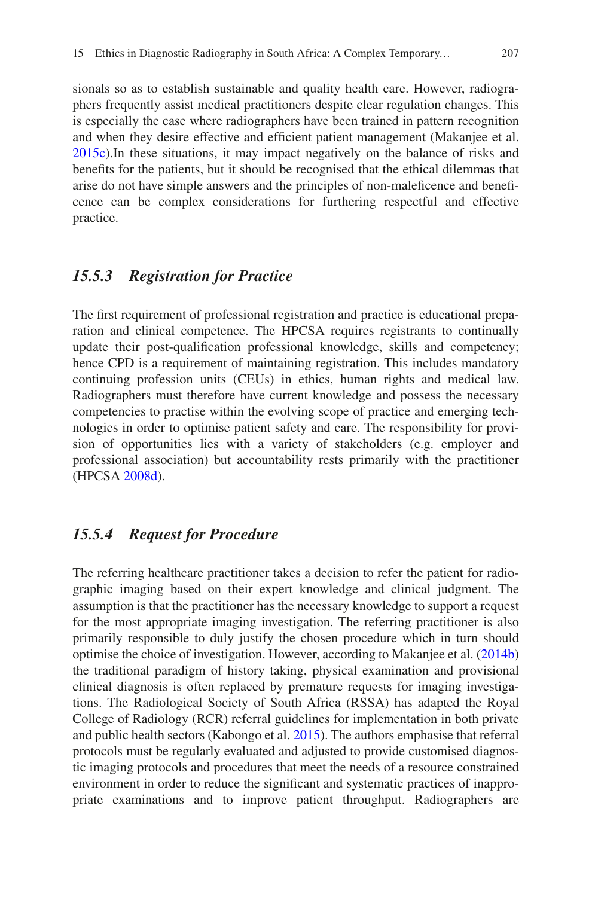sionals so as to establish sustainable and quality health care. However, radiographers frequently assist medical practitioners despite clear regulation changes. This is especially the case where radiographers have been trained in pattern recognition and when they desire effective and efficient patient management (Makanjee et al. [2015c](#page-12-10)).In these situations, it may impact negatively on the balance of risks and benefits for the patients, but it should be recognised that the ethical dilemmas that arise do not have simple answers and the principles of non-maleficence and beneficence can be complex considerations for furthering respectful and effective practice.

## *15.5.3 Registration for Practice*

The first requirement of professional registration and practice is educational preparation and clinical competence. The HPCSA requires registrants to continually update their post-qualification professional knowledge, skills and competency; hence CPD is a requirement of maintaining registration. This includes mandatory continuing profession units (CEUs) in ethics, human rights and medical law. Radiographers must therefore have current knowledge and possess the necessary competencies to practise within the evolving scope of practice and emerging technologies in order to optimise patient safety and care. The responsibility for provision of opportunities lies with a variety of stakeholders (e.g. employer and professional association) but accountability rests primarily with the practitioner (HPCSA [2008d\)](#page-11-8).

## <span id="page-6-0"></span>*15.5.4 Request for Procedure*

The referring healthcare practitioner takes a decision to refer the patient for radiographic imaging based on their expert knowledge and clinical judgment. The assumption is that the practitioner has the necessary knowledge to support a request for the most appropriate imaging investigation. The referring practitioner is also primarily responsible to duly justify the chosen procedure which in turn should optimise the choice of investigation. However, according to Makanjee et al. [\(2014b](#page-12-0)) the traditional paradigm of history taking, physical examination and provisional clinical diagnosis is often replaced by premature requests for imaging investigations. The Radiological Society of South Africa (RSSA) has adapted the Royal College of Radiology (RCR) referral guidelines for implementation in both private and public health sectors (Kabongo et al. [2015\)](#page-12-11). The authors emphasise that referral protocols must be regularly evaluated and adjusted to provide customised diagnostic imaging protocols and procedures that meet the needs of a resource constrained environment in order to reduce the significant and systematic practices of inappropriate examinations and to improve patient throughput. Radiographers are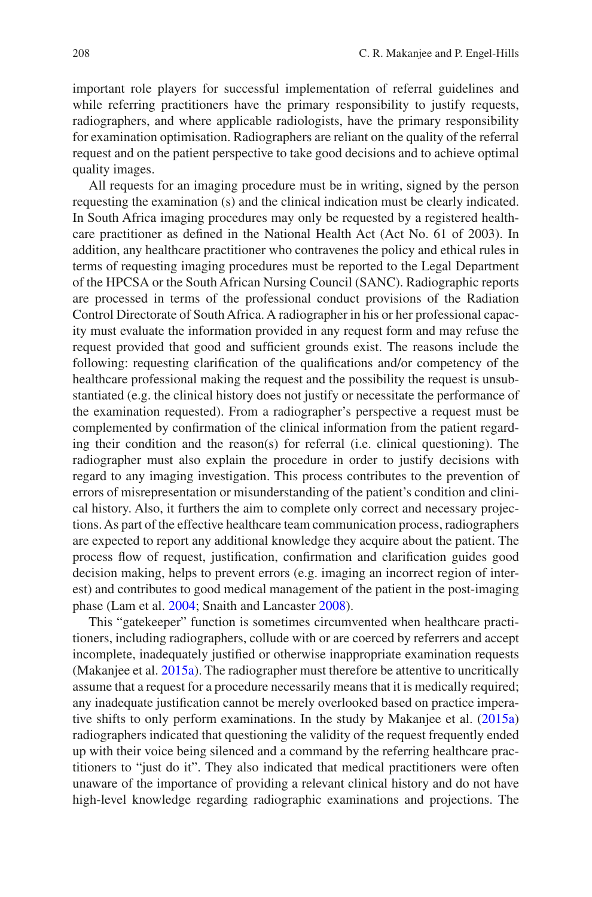important role players for successful implementation of referral guidelines and while referring practitioners have the primary responsibility to justify requests, radiographers, and where applicable radiologists, have the primary responsibility for examination optimisation. Radiographers are reliant on the quality of the referral request and on the patient perspective to take good decisions and to achieve optimal quality images.

All requests for an imaging procedure must be in writing, signed by the person requesting the examination (s) and the clinical indication must be clearly indicated. In South Africa imaging procedures may only be requested by a registered healthcare practitioner as defined in the National Health Act (Act No. 61 of 2003). In addition, any healthcare practitioner who contravenes the policy and ethical rules in terms of requesting imaging procedures must be reported to the Legal Department of the HPCSA or the South African Nursing Council (SANC). Radiographic reports are processed in terms of the professional conduct provisions of the Radiation Control Directorate of South Africa. A radiographer in his or her professional capacity must evaluate the information provided in any request form and may refuse the request provided that good and sufficient grounds exist. The reasons include the following: requesting clarification of the qualifications and/or competency of the healthcare professional making the request and the possibility the request is unsubstantiated (e.g. the clinical history does not justify or necessitate the performance of the examination requested). From a radiographer's perspective a request must be complemented by confirmation of the clinical information from the patient regarding their condition and the reason(s) for referral (i.e. clinical questioning). The radiographer must also explain the procedure in order to justify decisions with regard to any imaging investigation. This process contributes to the prevention of errors of misrepresentation or misunderstanding of the patient's condition and clinical history. Also, it furthers the aim to complete only correct and necessary projections. As part of the effective healthcare team communication process, radiographers are expected to report any additional knowledge they acquire about the patient. The process flow of request, justification, confirmation and clarification guides good decision making, helps to prevent errors (e.g. imaging an incorrect region of interest) and contributes to good medical management of the patient in the post-imaging phase (Lam et al. [2004](#page-12-12); Snaith and Lancaster [2008\)](#page-13-0).

This "gatekeeper" function is sometimes circumvented when healthcare practitioners, including radiographers, collude with or are coerced by referrers and accept incomplete, inadequately justified or otherwise inappropriate examination requests (Makanjee et al. [2015a](#page-12-4)). The radiographer must therefore be attentive to uncritically assume that a request for a procedure necessarily means that it is medically required; any inadequate justification cannot be merely overlooked based on practice imperative shifts to only perform examinations. In the study by Makanjee et al. ([2015a](#page-12-4)) radiographers indicated that questioning the validity of the request frequently ended up with their voice being silenced and a command by the referring healthcare practitioners to "just do it". They also indicated that medical practitioners were often unaware of the importance of providing a relevant clinical history and do not have high-level knowledge regarding radiographic examinations and projections. The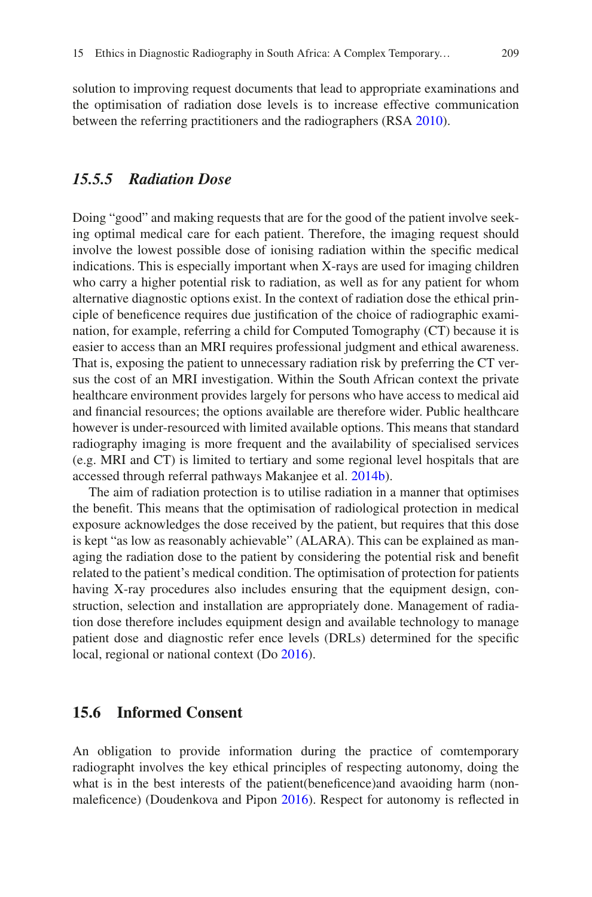solution to improving request documents that lead to appropriate examinations and the optimisation of radiation dose levels is to increase effective communication between the referring practitioners and the radiographers (RSA [2010\)](#page-12-13).

#### *15.5.5 Radiation Dose*

Doing "good" and making requests that are for the good of the patient involve seeking optimal medical care for each patient. Therefore, the imaging request should involve the lowest possible dose of ionising radiation within the specific medical indications. This is especially important when X-rays are used for imaging children who carry a higher potential risk to radiation, as well as for any patient for whom alternative diagnostic options exist. In the context of radiation dose the ethical principle of beneficence requires due justification of the choice of radiographic examination, for example, referring a child for Computed Tomography (CT) because it is easier to access than an MRI requires professional judgment and ethical awareness. That is, exposing the patient to unnecessary radiation risk by preferring the CT versus the cost of an MRI investigation. Within the South African context the private healthcare environment provides largely for persons who have access to medical aid and financial resources; the options available are therefore wider. Public healthcare however is under-resourced with limited available options. This means that standard radiography imaging is more frequent and the availability of specialised services (e.g. MRI and CT) is limited to tertiary and some regional level hospitals that are accessed through referral pathways Makanjee et al. [2014b\)](#page-12-0).

The aim of radiation protection is to utilise radiation in a manner that optimises the benefit. This means that the optimisation of radiological protection in medical exposure acknowledges the dose received by the patient, but requires that this dose is kept "as low as reasonably achievable" (ALARA). This can be explained as managing the radiation dose to the patient by considering the potential risk and benefit related to the patient's medical condition. The optimisation of protection for patients having X-ray procedures also includes ensuring that the equipment design, construction, selection and installation are appropriately done. Management of radiation dose therefore includes equipment design and available technology to manage patient dose and diagnostic refer ence levels (DRLs) determined for the specific local, regional or national context (Do [2016\)](#page-11-9).

#### **15.6 Informed Consent**

An obligation to provide information during the practice of comtemporary radiographt involves the key ethical principles of respecting autonomy, doing the what is in the best interests of the patient(beneficence)and avaoiding harm (nonmaleficence) (Doudenkova and Pipon [2016\)](#page-11-4). Respect for autonomy is reflected in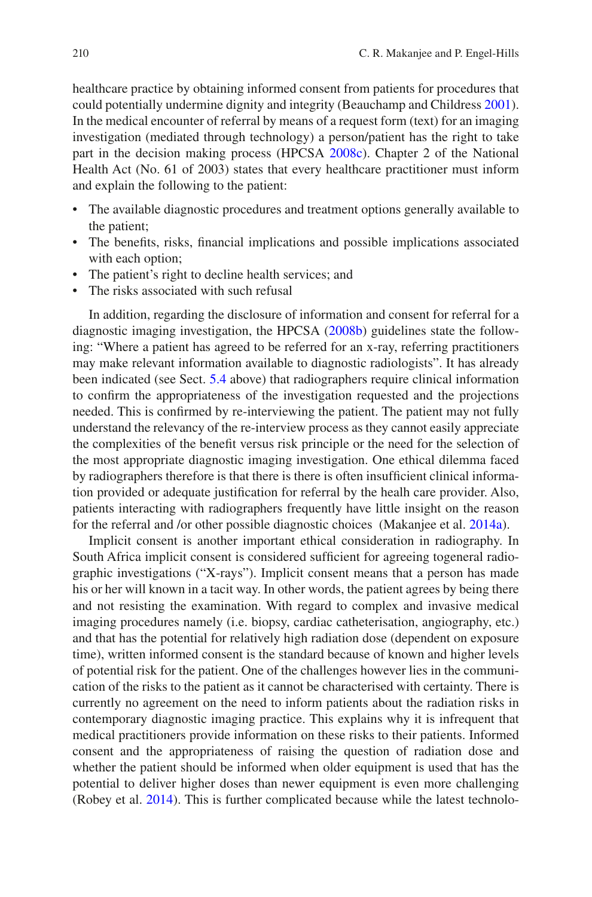healthcare practice by obtaining informed consent from patients for procedures that could potentially undermine dignity and integrity (Beauchamp and Childress [2001\)](#page-11-10). In the medical encounter of referral by means of a request form (text) for an imaging investigation (mediated through technology) a person/patient has the right to take part in the decision making process (HPCSA [2008c](#page-11-3)). Chapter 2 of the National Health Act (No. 61 of 2003) states that every healthcare practitioner must inform and explain the following to the patient:

- The available diagnostic procedures and treatment options generally available to the patient;
- The benefits, risks, financial implications and possible implications associated with each option;
- The patient's right to decline health services; and
- The risks associated with such refusal

In addition, regarding the disclosure of information and consent for referral for a diagnostic imaging investigation, the HPCSA [\(2008b](#page-11-2)) guidelines state the following: "Where a patient has agreed to be referred for an x-ray, referring practitioners may make relevant information available to diagnostic radiologists". It has already been indicated (see Sect. [5.4](#page-6-0) above) that radiographers require clinical information to confirm the appropriateness of the investigation requested and the projections needed. This is confirmed by re-interviewing the patient. The patient may not fully understand the relevancy of the re-interview process as they cannot easily appreciate the complexities of the benefit versus risk principle or the need for the selection of the most appropriate diagnostic imaging investigation. One ethical dilemma faced by radiographers therefore is that there is there is often insufficient clinical information provided or adequate justification for referral by the healh care provider. Also, patients interacting with radiographers frequently have little insight on the reason for the referral and /or other possible diagnostic choices (Makanjee et al. [2014a\)](#page-12-14).

Implicit consent is another important ethical consideration in radiography. In South Africa implicit consent is considered sufficient for agreeing togeneral radiographic investigations ("X-rays"). Implicit consent means that a person has made his or her will known in a tacit way. In other words, the patient agrees by being there and not resisting the examination. With regard to complex and invasive medical imaging procedures namely (i.e. biopsy, cardiac catheterisation, angiography, etc.) and that has the potential for relatively high radiation dose (dependent on exposure time), written informed consent is the standard because of known and higher levels of potential risk for the patient. One of the challenges however lies in the communication of the risks to the patient as it cannot be characterised with certainty. There is currently no agreement on the need to inform patients about the radiation risks in contemporary diagnostic imaging practice. This explains why it is infrequent that medical practitioners provide information on these risks to their patients. Informed consent and the appropriateness of raising the question of radiation dose and whether the patient should be informed when older equipment is used that has the potential to deliver higher doses than newer equipment is even more challenging (Robey et al. [2014\)](#page-12-15). This is further complicated because while the latest technolo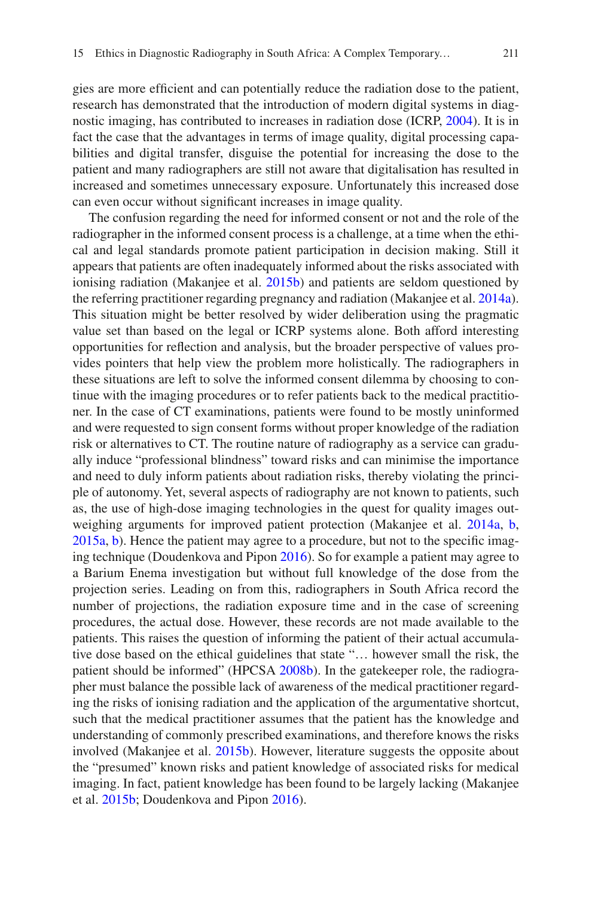gies are more efficient and can potentially reduce the radiation dose to the patient, research has demonstrated that the introduction of modern digital systems in diagnostic imaging, has contributed to increases in radiation dose (ICRP, [2004](#page-11-11)). It is in fact the case that the advantages in terms of image quality, digital processing capabilities and digital transfer, disguise the potential for increasing the dose to the patient and many radiographers are still not aware that digitalisation has resulted in increased and sometimes unnecessary exposure. Unfortunately this increased dose can even occur without significant increases in image quality.

The confusion regarding the need for informed consent or not and the role of the radiographer in the informed consent process is a challenge, at a time when the ethical and legal standards promote patient participation in decision making. Still it appears that patients are often inadequately informed about the risks associated with ionising radiation (Makanjee et al. [2015b\)](#page-12-16) and patients are seldom questioned by the referring practitioner regarding pregnancy and radiation (Makanjee et al. [2014a\)](#page-12-14). This situation might be better resolved by wider deliberation using the pragmatic value set than based on the legal or ICRP systems alone. Both afford interesting opportunities for reflection and analysis, but the broader perspective of values provides pointers that help view the problem more holistically. The radiographers in these situations are left to solve the informed consent dilemma by choosing to continue with the imaging procedures or to refer patients back to the medical practitioner. In the case of CT examinations, patients were found to be mostly uninformed and were requested to sign consent forms without proper knowledge of the radiation risk or alternatives to CT. The routine nature of radiography as a service can gradually induce "professional blindness" toward risks and can minimise the importance and need to duly inform patients about radiation risks, thereby violating the principle of autonomy. Yet, several aspects of radiography are not known to patients, such as, the use of high-dose imaging technologies in the quest for quality images out-weighing arguments for improved patient protection (Makanjee et al. [2014a](#page-12-14), [b](#page-12-0), [2015a](#page-12-4), [b](#page-12-16)). Hence the patient may agree to a procedure, but not to the specific imaging technique (Doudenkova and Pipon [2016](#page-11-4)). So for example a patient may agree to a Barium Enema investigation but without full knowledge of the dose from the projection series. Leading on from this, radiographers in South Africa record the number of projections, the radiation exposure time and in the case of screening procedures, the actual dose. However, these records are not made available to the patients. This raises the question of informing the patient of their actual accumulative dose based on the ethical guidelines that state "… however small the risk, the patient should be informed" (HPCSA [2008b\)](#page-11-2). In the gatekeeper role, the radiographer must balance the possible lack of awareness of the medical practitioner regarding the risks of ionising radiation and the application of the argumentative shortcut, such that the medical practitioner assumes that the patient has the knowledge and understanding of commonly prescribed examinations, and therefore knows the risks involved (Makanjee et al. [2015b](#page-12-16)). However, literature suggests the opposite about the "presumed" known risks and patient knowledge of associated risks for medical imaging. In fact, patient knowledge has been found to be largely lacking (Makanjee et al. [2015b;](#page-12-16) Doudenkova and Pipon [2016\)](#page-11-4).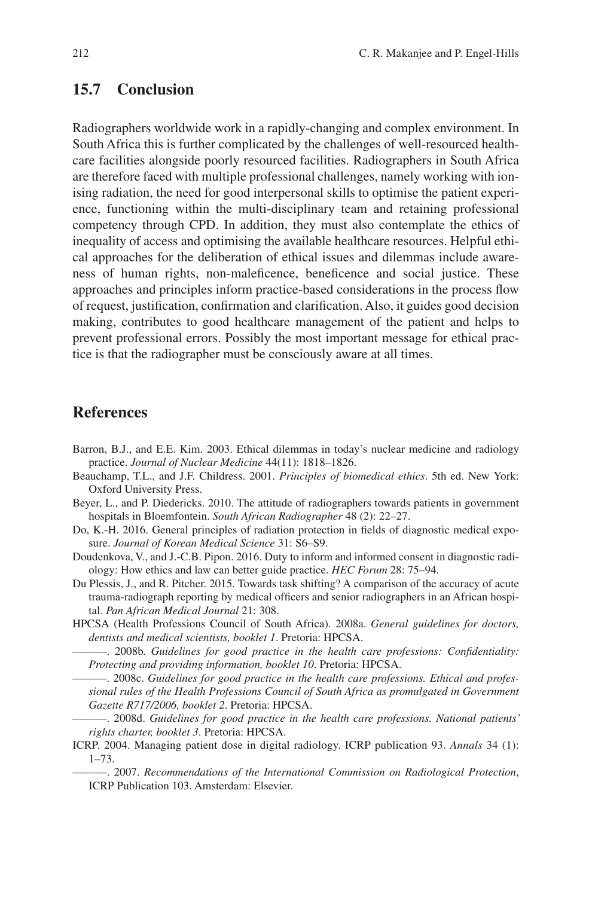## **15.7 Conclusion**

Radiographers worldwide work in a rapidly-changing and complex environment. In South Africa this is further complicated by the challenges of well-resourced healthcare facilities alongside poorly resourced facilities. Radiographers in South Africa are therefore faced with multiple professional challenges, namely working with ionising radiation, the need for good interpersonal skills to optimise the patient experience, functioning within the multi-disciplinary team and retaining professional competency through CPD. In addition, they must also contemplate the ethics of inequality of access and optimising the available healthcare resources. Helpful ethical approaches for the deliberation of ethical issues and dilemmas include awareness of human rights, non-maleficence, beneficence and social justice. These approaches and principles inform practice-based considerations in the process flow of request, justification, confirmation and clarification. Also, it guides good decision making, contributes to good healthcare management of the patient and helps to prevent professional errors. Possibly the most important message for ethical practice is that the radiographer must be consciously aware at all times.

## **References**

- <span id="page-11-0"></span>Barron, B.J., and E.E. Kim. 2003. Ethical dilemmas in today's nuclear medicine and radiology practice. *Journal of Nuclear Medicine* 44(11): 1818–1826.
- <span id="page-11-10"></span>Beauchamp, T.L., and J.F. Childress. 2001. *Principles of biomedical ethics*. 5th ed. New York: Oxford University Press.
- <span id="page-11-6"></span>Beyer, L., and P. Diedericks. 2010. The attitude of radiographers towards patients in government hospitals in Bloemfontein. *South African Radiographer* 48 (2): 22–27.
- <span id="page-11-9"></span>Do, K.-H. 2016. General principles of radiation protection in fields of diagnostic medical exposure. *Journal of Korean Medical Science* 31: S6–S9.
- <span id="page-11-4"></span>Doudenkova, V., and J.-C.B. Pipon. 2016. Duty to inform and informed consent in diagnostic radiology: How ethics and law can better guide practice. *HEC Forum* 28: 75–94.
- <span id="page-11-7"></span>Du Plessis, J., and R. Pitcher. 2015. Towards task shifting? A comparison of the accuracy of acute trauma-radiograph reporting by medical officers and senior radiographers in an African hospital. *Pan African Medical Journal* 21: 308.
- <span id="page-11-5"></span><span id="page-11-2"></span>HPCSA (Health Professions Council of South Africa). 2008a. *General guidelines for doctors, dentists and medical scientists, booklet 1*. Pretoria: HPCSA.
	- ———. 2008b. *Guidelines for good practice in the health care professions: Confidentiality: Protecting and providing information, booklet 10*. Pretoria: HPCSA.
	- ———. 2008c. *Guidelines for good practice in the health care professions. Ethical and professional rules of the Health Professions Council of South Africa as promulgated in Government Gazette R717/2006, booklet 2*. Pretoria: HPCSA.
- <span id="page-11-8"></span><span id="page-11-3"></span>———. 2008d. *Guidelines for good practice in the health care professions. National patients' rights charter, booklet 3*. Pretoria: HPCSA.
- <span id="page-11-11"></span><span id="page-11-1"></span>ICRP. 2004. Managing patient dose in digital radiology. ICRP publication 93. *Annals* 34 (1): 1–73.
	- ———. 2007. *Recommendations of the International Commission on Radiological Protection*, ICRP Publication 103. Amsterdam: Elsevier.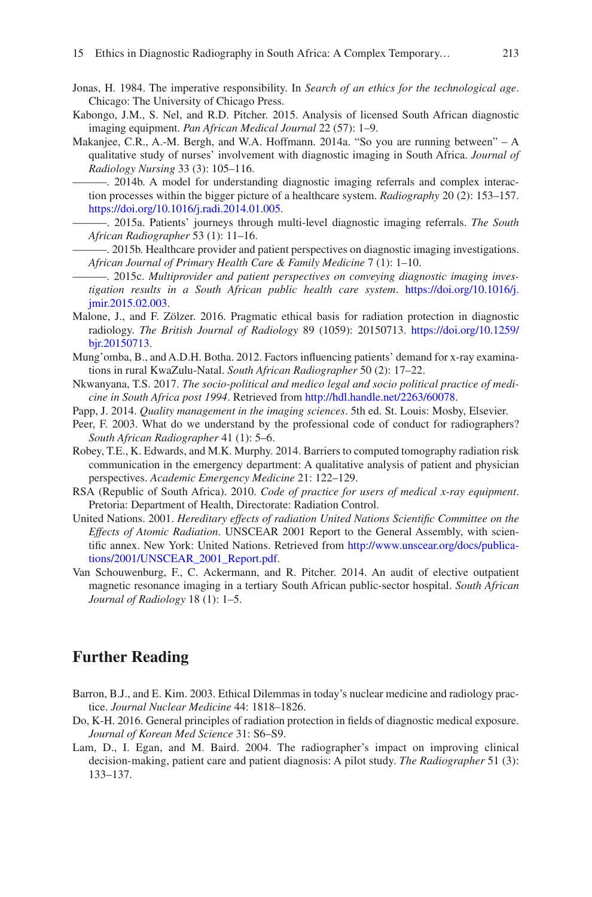- <span id="page-12-1"></span>Jonas, H. 1984. The imperative responsibility. In *Search of an ethics for the technological age*. Chicago: The University of Chicago Press.
- <span id="page-12-11"></span>Kabongo, J.M., S. Nel, and R.D. Pitcher. 2015. Analysis of licensed South African diagnostic imaging equipment. *Pan African Medical Journal* 22 (57): 1–9.
- <span id="page-12-14"></span><span id="page-12-0"></span>Makanjee, C.R., A.-M. Bergh, and W.A. Hoffmann. 2014a. "So you are running between" – A qualitative study of nurses' involvement with diagnostic imaging in South Africa. *Journal of Radiology Nursing* 33 (3): 105–116.
	- ———. 2014b. A model for understanding diagnostic imaging referrals and complex interaction processes within the bigger picture of a healthcare system. *Radiography* 20 (2): 153–157. <https://doi.org/10.1016/j.radi.2014.01.005>.
- <span id="page-12-4"></span>———. 2015a. Patients' journeys through multi-level diagnostic imaging referrals. *The South African Radiographer* 53 (1): 11–16.
- <span id="page-12-16"></span>———. 2015b. Healthcare provider and patient perspectives on diagnostic imaging investigations. *African Journal of Primary Health Care & Family Medicine* 7 (1): 1–10.
- <span id="page-12-10"></span>———. 2015c. *Multiprovider and patient perspectives on conveying diagnostic imaging investigation results in a South African public health care system*. [https://doi.org/10.1016/j.](https://doi.org/10.1016/j.jmir.2015.02.003) [jmir.2015.02.003](https://doi.org/10.1016/j.jmir.2015.02.003).
- <span id="page-12-8"></span>Malone, J., and F. Zölzer. 2016. Pragmatic ethical basis for radiation protection in diagnostic radiology. *The British Journal of Radiology* 89 (1059): 20150713. [https://doi.org/10.1259/](https://doi.org/10.1259/bjr.20150713) [bjr.20150713.](https://doi.org/10.1259/bjr.20150713)
- <span id="page-12-7"></span>Mung'omba, B., and A.D.H. Botha. 2012. Factors influencing patients' demand for x-ray examinations in rural KwaZulu-Natal. *South African Radiographer* 50 (2): 17–22.
- <span id="page-12-3"></span>Nkwanyana, T.S. 2017. *The socio-political and medico legal and socio political practice of medicine in South Africa post 1994*. Retrieved from <http://hdl.handle.net/2263/60078>.
- <span id="page-12-6"></span>Papp, J. 2014. *Quality management in the imaging sciences*. 5th ed. St. Louis: Mosby, Elsevier.
- <span id="page-12-9"></span>Peer, F. 2003. What do we understand by the professional code of conduct for radiographers? *South African Radiographer* 41 (1): 5–6.
- <span id="page-12-15"></span>Robey, T.E., K. Edwards, and M.K. Murphy. 2014. Barriers to computed tomography radiation risk communication in the emergency department: A qualitative analysis of patient and physician perspectives. *Academic Emergency Medicine* 21: 122–129.
- <span id="page-12-13"></span>RSA (Republic of South Africa). 2010. *Code of practice for users of medical x-ray equipment*. Pretoria: Department of Health, Directorate: Radiation Control.
- <span id="page-12-2"></span>United Nations. 2001. *Hereditary effects of radiation United Nations Scientific Committee on the Effects of Atomic Radiation*. UNSCEAR 2001 Report to the General Assembly, with scientific annex. New York: United Nations. Retrieved from [http://www.unscear.org/docs/publica](http://www.unscear.org/docs/publications/2001/UNSCEAR_2001_Report.pdf)[tions/2001/UNSCEAR\\_2001\\_Report.pdf.](http://www.unscear.org/docs/publications/2001/UNSCEAR_2001_Report.pdf)
- <span id="page-12-5"></span>Van Schouwenburg, F., C. Ackermann, and R. Pitcher. 2014. An audit of elective outpatient magnetic resonance imaging in a tertiary South African public-sector hospital. *South African Journal of Radiology* 18 (1): 1–5.

## **Further Reading**

- Barron, B.J., and E. Kim. 2003. Ethical Dilemmas in today's nuclear medicine and radiology practice. *Journal Nuclear Medicine* 44: 1818–1826.
- Do, K-H. 2016. General principles of radiation protection in fields of diagnostic medical exposure. *Journal of Korean Med Science* 31: S6–S9.
- <span id="page-12-12"></span>Lam, D., I. Egan, and M. Baird. 2004. The radiographer's impact on improving clinical decision-making, patient care and patient diagnosis: A pilot study. *The Radiographer* 51 (3): 133–137.